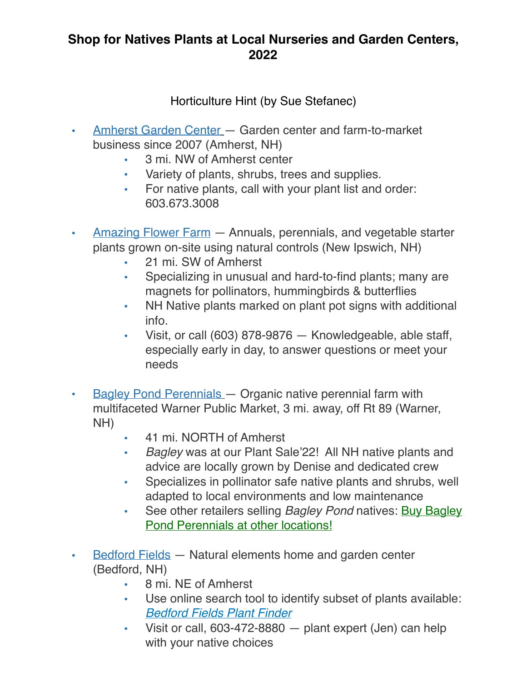#### Horticulture Hint (by Sue Stefanec)

- Amherst Garden Center Garden center and farm-to-market business since 2007 (Amherst, NH)
	- 3 mi. NW of Amherst center
	- Variety of plants, shrubs, trees and supplies.
	- For native plants, call with your plant list and order: 603.673.3008
- Amazing Flower Farm Annuals, perennials, and vegetable starter plants grown on-site using natural controls (New Ipswich, NH)
	- 21 mi. SW of Amherst
	- Specializing in unusual and hard-to-find plants; many are magnets for pollinators, hummingbirds & butterflies
	- NH Native plants marked on plant pot signs with additional info.
	- Visit, or call (603) 878-9876 Knowledgeable, able staff, especially early in day, to answer questions or meet your needs
- Bagley Pond Perennials Organic native perennial farm with multifaceted Warner Public Market, 3 mi. away, off Rt 89 (Warner, NH)
	- 41 mi. NORTH of Amherst
	- *Bagley* was at our Plant Sale'22! All NH native plants and advice are locally grown by Denise and dedicated crew
	- Specializes in pollinator safe native plants and shrubs, well adapted to local environments and low maintenance
	- See other retailers selling *Bagley Pond* natives: **Buy Bagley** Pond Perennials at other locations!
- Bedford Fields Natural elements home and garden center (Bedford, NH)
	- 8 mi. NE of Amherst
	- Use online search tool to identify subset of plants available: *Bedford Fields Plant Finder*
	- Visit or call, 603-472-8880 plant expert (Jen) can help with your native choices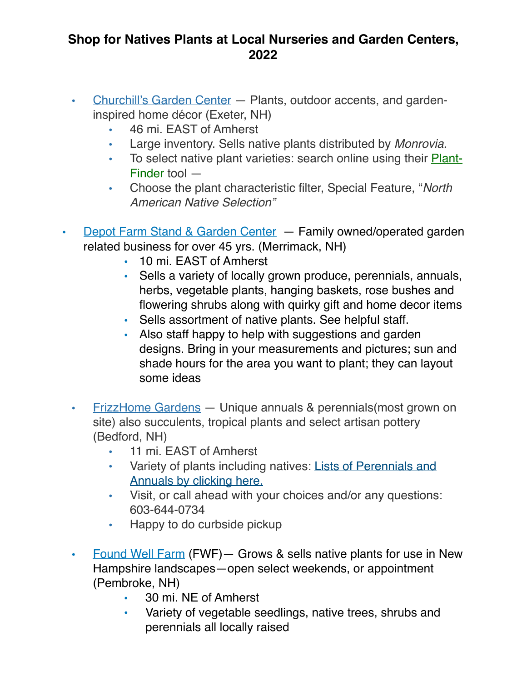- Churchill's Garden Center Plants, outdoor accents, and gardeninspired home décor (Exeter, NH)
	- 46 mi. EAST of Amherst
	- Large inventory. Sells native plants distributed by *Monrovia.*
	- To select native plant varieties: search online using their Plant-Finder tool —
	- Choose the plant characteristic filter, Special Feature, "*North American Native Selection"*
- Depot Farm Stand & Garden Center Family owned/operated garden related business for over 45 yrs. (Merrimack, NH)
	- 10 mi. EAST of Amherst
	- Sells a variety of locally grown produce, perennials, annuals, herbs, vegetable plants, hanging baskets, rose bushes and flowering shrubs along with quirky gift and home decor items
	- Sells assortment of native plants. See helpful staff.
	- Also staff happy to help with suggestions and garden designs. Bring in your measurements and pictures; sun and shade hours for the area you want to plant; they can layout some ideas
	- FrizzHome Gardens Unique annuals & perennials(most grown on site) also succulents, tropical plants and select artisan pottery (Bedford, NH)
		- 11 mi. EAST of Amherst
		- Variety of plants including natives: Lists of Perennials and Annuals by clicking here.
		- Visit, or call ahead with your choices and/or any questions: 603-644-0734
		- Happy to do curbside pickup
	- Found Well Farm (FWF)— Grows & sells native plants for use in New Hampshire landscapes—open select weekends, or appointment (Pembroke, NH)
		- 30 mi. NE of Amherst
		- Variety of vegetable seedlings, native trees, shrubs and perennials all locally raised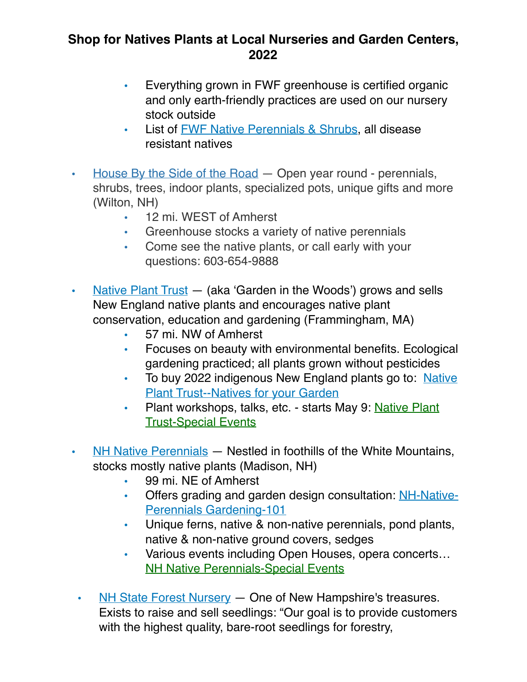- Everything grown in FWF greenhouse is certified organic and only earth-friendly practices are used on our nursery stock outside
- List of **FWF Native Perennials & Shrubs**, all disease resistant natives
- House By the Side of the Road Open year round perennials, shrubs, trees, indoor plants, specialized pots, unique gifts and more (Wilton, NH)
	- 12 mi. WEST of Amherst
	- Greenhouse stocks a variety of native perennials
	- Come see the native plants, or call early with your questions: 603-654-9888
- Native Plant Trust (aka 'Garden in the Woods') grows and sells New England native plants and encourages native plant conservation, education and gardening (Frammingham, MA)
	- 57 mi. NW of Amherst
	- Focuses on beauty with environmental benefits. Ecological gardening practiced; all plants grown without pesticides
	- To buy 2022 indigenous New England plants go to: Native **Plant Trust--Natives for your Garden**
	- Plant workshops, talks, etc. starts May 9: Native Plant Trust-Special Events
- NH Native Perennials Nestled in foothills of the White Mountains, stocks mostly native plants (Madison, NH)
	- 99 mi. NE of Amherst
	- Offers grading and garden design consultation: NH-Native-Perennials Gardening-101
	- Unique ferns, native & non-native perennials, pond plants, native & non-native ground covers, sedges
	- Various events including Open Houses, opera concerts… **NH Native Perennials-Special Events**
- NH State Forest Nursery One of New Hampshire's treasures. Exists to raise and sell seedlings: "Our goal is to provide customers with the highest quality, bare-root seedlings for forestry,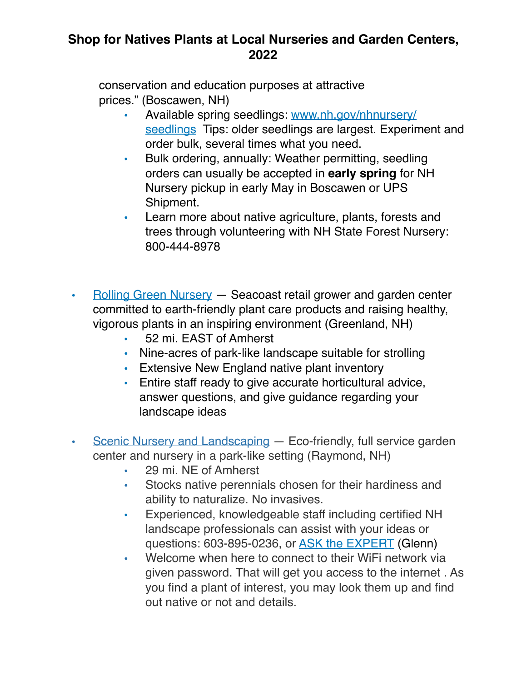conservation and education purposes at attractive prices." (Boscawen, NH)

- Available spring seedlings: www.nh.gov/nhnursery/ seedlings Tips: older seedlings are largest. Experiment and order bulk, several times what you need.
- Bulk ordering, annually: Weather permitting, seedling orders can usually be accepted in **early spring** for NH Nursery pickup in early May in Boscawen or UPS Shipment.
- Learn more about native agriculture, plants, forests and trees through volunteering with NH State Forest Nursery: 800-444-8978
- Rolling Green Nursery Seacoast retail grower and garden center committed to earth-friendly plant care products and raising healthy, vigorous plants in an inspiring environment (Greenland, NH)
	- 52 mi. EAST of Amherst
	- Nine-acres of park-like landscape suitable for strolling
	- Extensive New England native plant inventory
	- Entire staff ready to give accurate horticultural advice, answer questions, and give guidance regarding your landscape ideas
- Scenic Nursery and Landscaping Eco-friendly, full service garden center and nursery in a park-like setting (Raymond, NH)
	- 29 mi. NE of Amherst
	- Stocks native perennials chosen for their hardiness and ability to naturalize. No invasives.
	- Experienced, knowledgeable staff including certified NH landscape professionals can assist with your ideas or questions: 603-895-0236, or ASK the EXPERT (Glenn)
	- Welcome when here to connect to their WiFi network via given password. That will get you access to the internet . As you find a plant of interest, you may look them up and find out native or not and details.